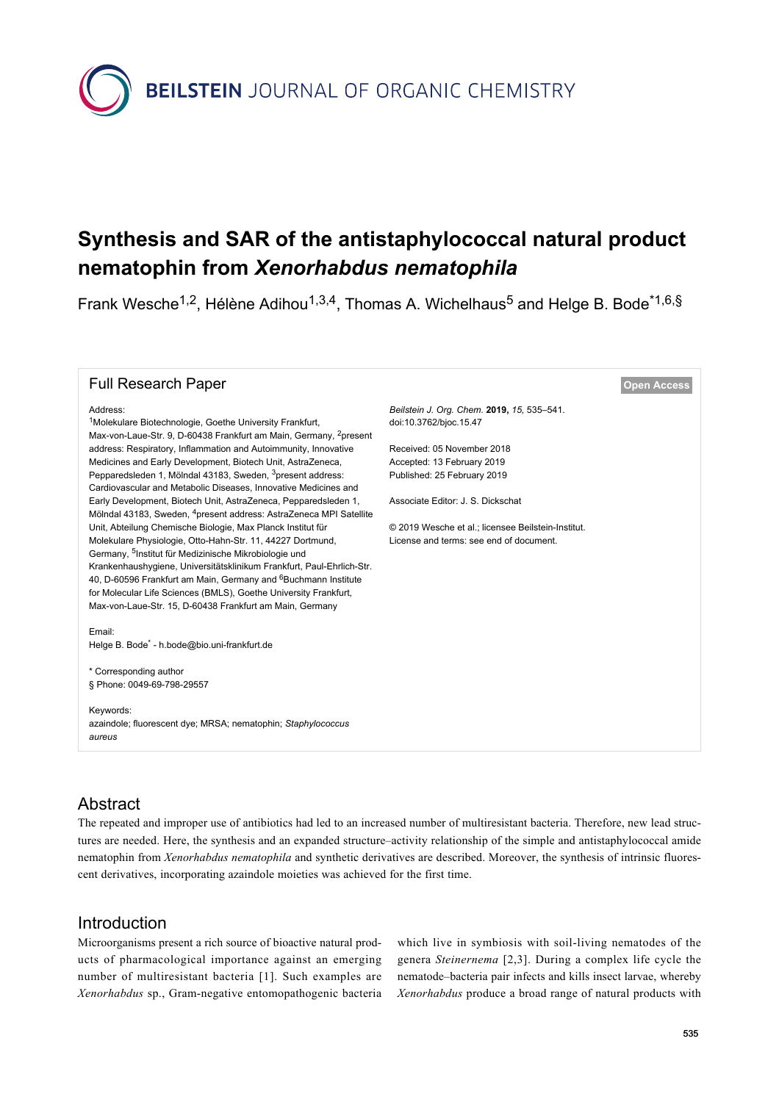

# **Synthesis and SAR of the antistaphylococcal natural product nematophin from** *Xenorhabdus nematophila*

Frank Wesche<sup>1,2</sup>, Hélène Adihou<sup>1,3,4</sup>, Thomas A. Wichelhaus<sup>5</sup> and Helge B. Bode<sup>\*1,6,§</sup>

#### **Full Research Paper [Open Access](https://www.beilstein-journals.org/bjoc/about/openAccess.htm) Open Access**

<sup>1</sup>Molekulare Biotechnologie, Goethe University Frankfurt,

Unit, Abteilung Chemische Biologie, Max Planck Institut für Molekulare Physiologie, Otto-Hahn-Str. 11, 44227 Dortmund, Germany, <sup>5</sup>Institut für Medizinische Mikrobiologie und

Max-von-Laue-Str. 9, D-60438 Frankfurt am Main, Germany, <sup>2</sup>present address: Respiratory, Inflammation and Autoimmunity, Innovative Medicines and Early Development, Biotech Unit, AstraZeneca, Pepparedsleden 1, Mölndal 43183, Sweden, <sup>3</sup>present address: Cardiovascular and Metabolic Diseases, Innovative Medicines and Early Development, Biotech Unit, AstraZeneca, Pepparedsleden 1, Mölndal 43183, Sweden, <sup>4</sup>present address: AstraZeneca MPI Satellite

Krankenhaushygiene, Universitätsklinikum Frankfurt, Paul-Ehrlich-Str. 40, D-60596 Frankfurt am Main, Germany and <sup>6</sup>Buchmann Institute for Molecular Life Sciences (BMLS), Goethe University Frankfurt, Max-von-Laue-Str. 15, D-60438 Frankfurt am Main, Germany

Address:

*Beilstein J. Org. Chem.* **2019,** *15,* 535–541. [doi:10.3762/bjoc.15.47](https://doi.org/10.3762%2Fbjoc.15.47)

Received: 05 November 2018 Accepted: 13 February 2019 Published: 25 February 2019

Associate Editor: J. S. Dickschat

© 2019 Wesche et al.; licensee Beilstein-Institut. License and terms: see end of document.

#### Email: Helge B. Bode\* - [h.bode@bio.uni-frankfurt.de](mailto:h.bode@bio.uni-frankfurt.de)

\* Corresponding author § Phone: 0049-69-798-29557

Keywords: azaindole; fluorescent dye; MRSA; nematophin; *Staphylococcus aureus*

#### Abstract

The repeated and improper use of antibiotics had led to an increased number of multiresistant bacteria. Therefore, new lead structures are needed. Here, the synthesis and an expanded structure–activity relationship of the simple and antistaphylococcal amide nematophin from *Xenorhabdus nematophila* and synthetic derivatives are described. Moreover, the synthesis of intrinsic fluorescent derivatives, incorporating azaindole moieties was achieved for the first time.

#### Introduction

Microorganisms present a rich source of bioactive natural products of pharmacological importance against an emerging number of multiresistant bacteria [\[1\]](#page-5-0). Such examples are *Xenorhabdus* sp., Gram-negative entomopathogenic bacteria

which live in symbiosis with soil-living nematodes of the genera *Steinernema* [\[2,3\]](#page-5-1). During a complex life cycle the nematode–bacteria pair infects and kills insect larvae, whereby *Xenorhabdus* produce a broad range of natural products with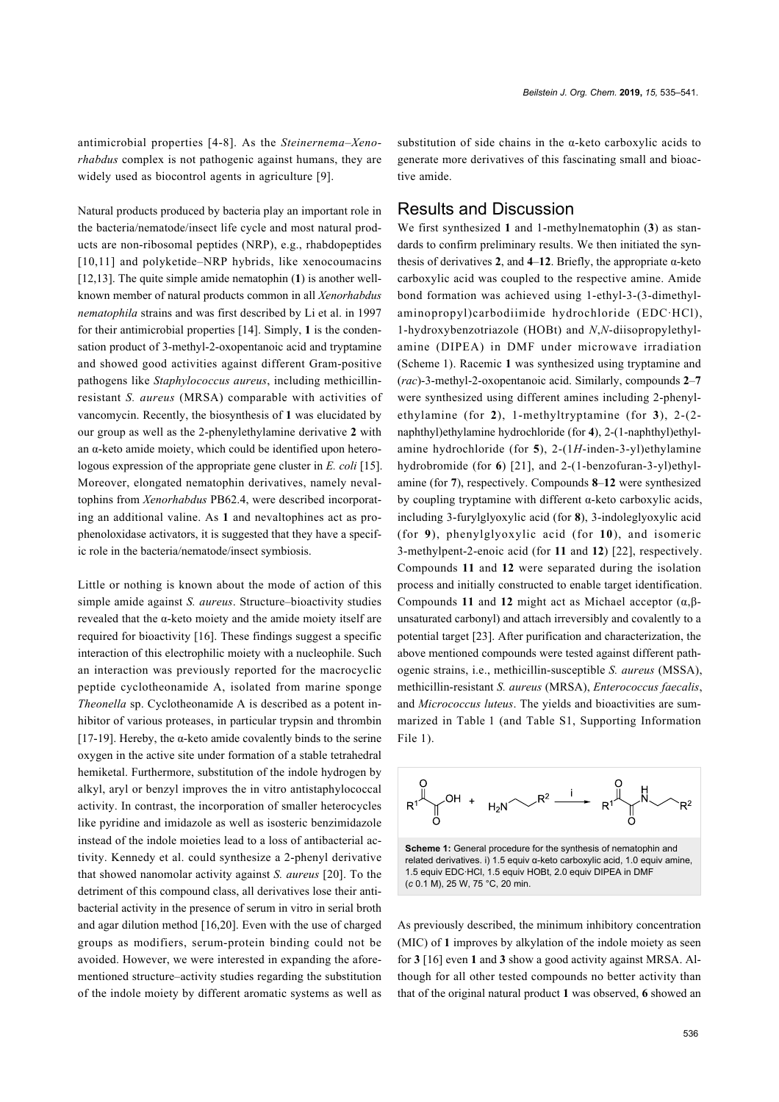antimicrobial properties [\[4-8\]](#page-5-2). As the *Steinernema–Xenorhabdus* complex is not pathogenic against humans, they are widely used as biocontrol agents in agriculture [\[9\].](#page-5-3)

Natural products produced by bacteria play an important role in the bacteria/nematode/insect life cycle and most natural products are non-ribosomal peptides (NRP), e.g., rhabdopeptides [\[10,11\]](#page-5-4) and polyketide–NRP hybrids, like xenocoumacins [\[12,13\].](#page-5-5) The quite simple amide nematophin (**1**) is another wellknown member of natural products common in all *Xenorhabdus nematophila* strains and was first described by Li et al. in 1997 for their antimicrobial properties [\[14\]](#page-6-0). Simply, **1** is the condensation product of 3-methyl-2-oxopentanoic acid and tryptamine and showed good activities against different Gram-positive pathogens like *Staphylococcus aureus*, including methicillinresistant *S. aureus* (MRSA) comparable with activities of vancomycin. Recently, the biosynthesis of **1** was elucidated by our group as well as the 2-phenylethylamine derivative **2** with an  $\alpha$ -keto amide moiety, which could be identified upon heterologous expression of the appropriate gene cluster in *E. coli* [\[15\]](#page-6-1). Moreover, elongated nematophin derivatives, namely nevaltophins from *Xenorhabdus* PB62.4, were described incorporating an additional valine. As **1** and nevaltophines act as prophenoloxidase activators, it is suggested that they have a specific role in the bacteria/nematode/insect symbiosis.

Little or nothing is known about the mode of action of this simple amide against *S. aureus*. Structure–bioactivity studies revealed that the α-keto moiety and the amide moiety itself are required for bioactivity [\[16\].](#page-6-2) These findings suggest a specific interaction of this electrophilic moiety with a nucleophile. Such an interaction was previously reported for the macrocyclic peptide cyclotheonamide A, isolated from marine sponge *Theonella* sp. Cyclotheonamide A is described as a potent inhibitor of various proteases, in particular trypsin and thrombin [\[17-19\].](#page-6-3) Hereby, the  $\alpha$ -keto amide covalently binds to the serine oxygen in the active site under formation of a stable tetrahedral hemiketal. Furthermore, substitution of the indole hydrogen by alkyl, aryl or benzyl improves the in vitro antistaphylococcal activity. In contrast, the incorporation of smaller heterocycles like pyridine and imidazole as well as isosteric benzimidazole instead of the indole moieties lead to a loss of antibacterial activity. Kennedy et al. could synthesize a 2-phenyl derivative that showed nanomolar activity against *S. aureus* [\[20\]](#page-6-4). To the detriment of this compound class, all derivatives lose their antibacterial activity in the presence of serum in vitro in serial broth and agar dilution method [\[16,20\]](#page-6-2). Even with the use of charged groups as modifiers, serum-protein binding could not be avoided. However, we were interested in expanding the aforementioned structure–activity studies regarding the substitution of the indole moiety by different aromatic systems as well as

substitution of side chains in the  $\alpha$ -keto carboxylic acids to generate more derivatives of this fascinating small and bioactive amide.

#### Results and Discussion

We first synthesized **1** and 1-methylnematophin (**3**) as standards to confirm preliminary results. We then initiated the synthesis of derivatives **2**, and **4**–**12**. Briefly, the appropriate α-keto carboxylic acid was coupled to the respective amine. Amide bond formation was achieved using 1-ethyl-3-(3-dimethylaminopropyl)carbodiimide hydrochloride (EDC·HCl), 1-hydroxybenzotriazole (HOBt) and *N*,*N*-diisopropylethylamine (DIPEA) in DMF under microwave irradiation ([Scheme 1\)](#page-1-0). Racemic **1** was synthesized using tryptamine and (*rac*)-3-methyl-2-oxopentanoic acid. Similarly, compounds **2**–**7** were synthesized using different amines including 2-phenylethylamine (for **2**), 1-methyltryptamine (for **3**), 2-(2 naphthyl)ethylamine hydrochloride (for **4**), 2-(1-naphthyl)ethylamine hydrochloride (for **5**), 2-(1*H*-inden-3-yl)ethylamine hydrobromide (for **6**) [\[21\],](#page-6-5) and 2-(1-benzofuran-3-yl)ethylamine (for **7**), respectively. Compounds **8**–**12** were synthesized by coupling tryptamine with different α-keto carboxylic acids, including 3-furylglyoxylic acid (for **8**), 3-indoleglyoxylic acid (for **9**), phenylglyoxylic acid (for **10**), and isomeric 3-methylpent-2-enoic acid (for **11** and **12**) [\[22\]](#page-6-6), respectively. Compounds **11** and **12** were separated during the isolation process and initially constructed to enable target identification. Compounds **11** and **12** might act as Michael acceptor (α,βunsaturated carbonyl) and attach irreversibly and covalently to a potential target [\[23\].](#page-6-7) After purification and characterization, the above mentioned compounds were tested against different pathogenic strains, i.e., methicillin-susceptible *S. aureus* (MSSA), methicillin-resistant *S. aureus* (MRSA), *Enterococcus faecalis*, and *Micrococcus luteus*. The yields and bioactivities are summarized in [Table 1](#page-2-0) (and Table S1, [Supporting Information](#page-5-6) [File 1](#page-5-6)).

<span id="page-1-0"></span>

As previously described, the minimum inhibitory concentration (MIC) of **1** improves by alkylation of the indole moiety as seen for **3** [\[16\]](#page-6-2) even **1** and **3** show a good activity against MRSA. Although for all other tested compounds no better activity than that of the original natural product **1** was observed, **6** showed an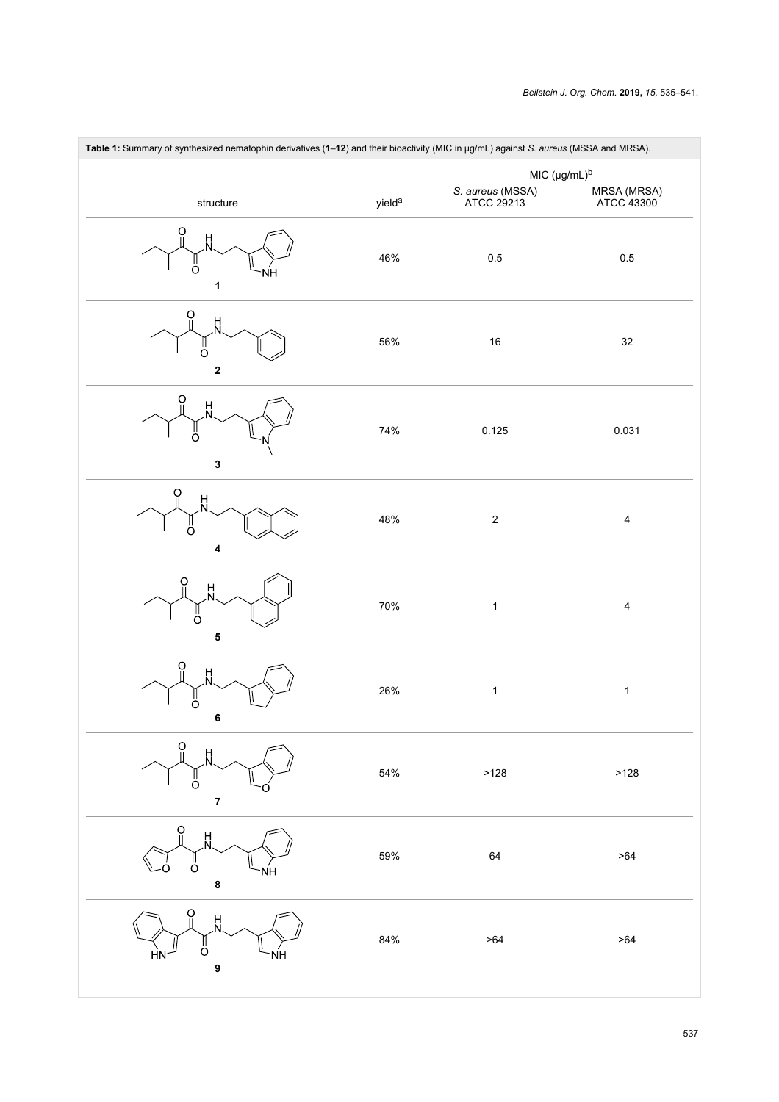<span id="page-2-0"></span>

| Table 1: Summary of synthesized nematophin derivatives (1-12) and their bioactivity (MIC in µg/mL) against S. aureus (MSSA and MRSA). |                    |                                |                           |  |
|---------------------------------------------------------------------------------------------------------------------------------------|--------------------|--------------------------------|---------------------------|--|
|                                                                                                                                       |                    | $MIC (µg/mL)^b$                |                           |  |
| structure                                                                                                                             | yield <sup>a</sup> | S. aureus (MSSA)<br>ATCC 29213 | MRSA (MRSA)<br>ATCC 43300 |  |
| O<br>H<br>O<br>1                                                                                                                      | 46%                | 0.5                            | 0.5                       |  |
| O<br>H<br>$\Omega$<br>2                                                                                                               | 56%                | 16                             | 32                        |  |
| O<br>빘<br>ő<br>3                                                                                                                      | 74%                | 0.125                          | 0.031                     |  |
| Ö<br>$\frac{H}{N}$<br>O<br>4                                                                                                          | 48%                | $\boldsymbol{2}$               | $\overline{\mathbf{4}}$   |  |
| O<br>H<br>Ω<br>5                                                                                                                      | 70%                | $\mathbf{1}$                   | $\overline{\mathbf{4}}$   |  |
| O<br>빘<br>$\sigma$<br>6                                                                                                               | 26%                | $\mathbf{1}$                   | $\mathbf{1}$              |  |
| O<br>H<br>റ<br>7                                                                                                                      | 54%                | >128                           | >128                      |  |
| $\ddot{\mathrm{o}}$<br>H<br>Ö<br>NΗ<br>8                                                                                              | 59%                | 64                             | >64                       |  |
| H<br>O<br>9                                                                                                                           | 84%                | >64                            | >64                       |  |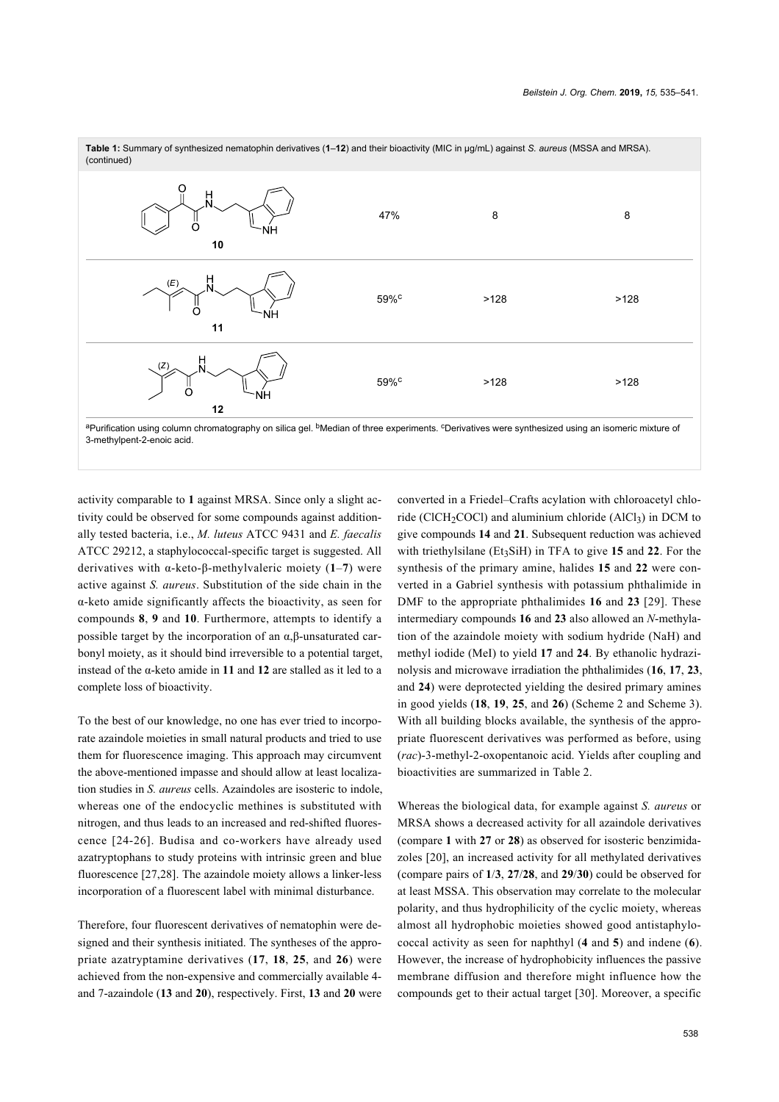

aPurification using column chromatography on silica gel. <sup>b</sup>Median of three experiments. <sup>c</sup>Derivatives were synthesized using an isomeric mixture of 3-methylpent-2-enoic acid.

activity comparable to **1** against MRSA. Since only a slight activity could be observed for some compounds against additionally tested bacteria, i.e., *M. luteus* ATCC 9431 and *E. faecalis* ATCC 29212, a staphylococcal-specific target is suggested. All derivatives with α-keto-β-methylvaleric moiety (**1**–**7**) were active against *S. aureus*. Substitution of the side chain in the α-keto amide significantly affects the bioactivity, as seen for compounds **8**, **9** and **10**. Furthermore, attempts to identify a possible target by the incorporation of an α,β-unsaturated carbonyl moiety, as it should bind irreversible to a potential target, instead of the α-keto amide in **11** and **12** are stalled as it led to a complete loss of bioactivity.

To the best of our knowledge, no one has ever tried to incorporate azaindole moieties in small natural products and tried to use them for fluorescence imaging. This approach may circumvent the above-mentioned impasse and should allow at least localization studies in *S. aureus* cells. Azaindoles are isosteric to indole, whereas one of the endocyclic methines is substituted with nitrogen, and thus leads to an increased and red-shifted fluorescence [\[24-26\]](#page-6-8). Budisa and co-workers have already used azatryptophans to study proteins with intrinsic green and blue fluorescence [\[27,28\]](#page-6-9). The azaindole moiety allows a linker-less incorporation of a fluorescent label with minimal disturbance.

Therefore, four fluorescent derivatives of nematophin were designed and their synthesis initiated. The syntheses of the appropriate azatryptamine derivatives (**17**, **18**, **25**, and **26**) were achieved from the non-expensive and commercially available 4 and 7-azaindole (**13** and **20**), respectively. First, **13** and **20** were

converted in a Friedel–Crafts acylation with chloroacetyl chloride (ClCH<sub>2</sub>COCl) and aluminium chloride (AlCl<sub>3</sub>) in DCM to give compounds **14** and **21**. Subsequent reduction was achieved with triethylsilane  $(Et<sub>3</sub>SiH)$  in TFA to give 15 and 22. For the synthesis of the primary amine, halides **15** and **22** were converted in a Gabriel synthesis with potassium phthalimide in DMF to the appropriate phthalimides **16** and **23** [\[29\]](#page-6-10). These intermediary compounds **16** and **23** also allowed an *N*-methylation of the azaindole moiety with sodium hydride (NaH) and methyl iodide (MeI) to yield **17** and **24**. By ethanolic hydrazinolysis and microwave irradiation the phthalimides (**16**, **17**, **23**, and **24**) were deprotected yielding the desired primary amines in good yields (**18**, **19**, **25**, and **26**) ([Scheme 2](#page-4-0) and [Scheme 3](#page-4-1)). With all building blocks available, the synthesis of the appropriate fluorescent derivatives was performed as before, using (*rac*)-3-methyl-2-oxopentanoic acid. Yields after coupling and bioactivities are summarized in [Table 2](#page-5-7).

Whereas the biological data, for example against *S. aureus* or MRSA shows a decreased activity for all azaindole derivatives (compare **1** with **27** or **28**) as observed for isosteric benzimidazoles [\[20\],](#page-6-4) an increased activity for all methylated derivatives (compare pairs of **1**/**3**, **27**/**28**, and **29**/**30**) could be observed for at least MSSA. This observation may correlate to the molecular polarity, and thus hydrophilicity of the cyclic moiety, whereas almost all hydrophobic moieties showed good antistaphylococcal activity as seen for naphthyl (**4** and **5**) and indene (**6**). However, the increase of hydrophobicity influences the passive membrane diffusion and therefore might influence how the compounds get to their actual target [\[30\]](#page-6-11). Moreover, a specific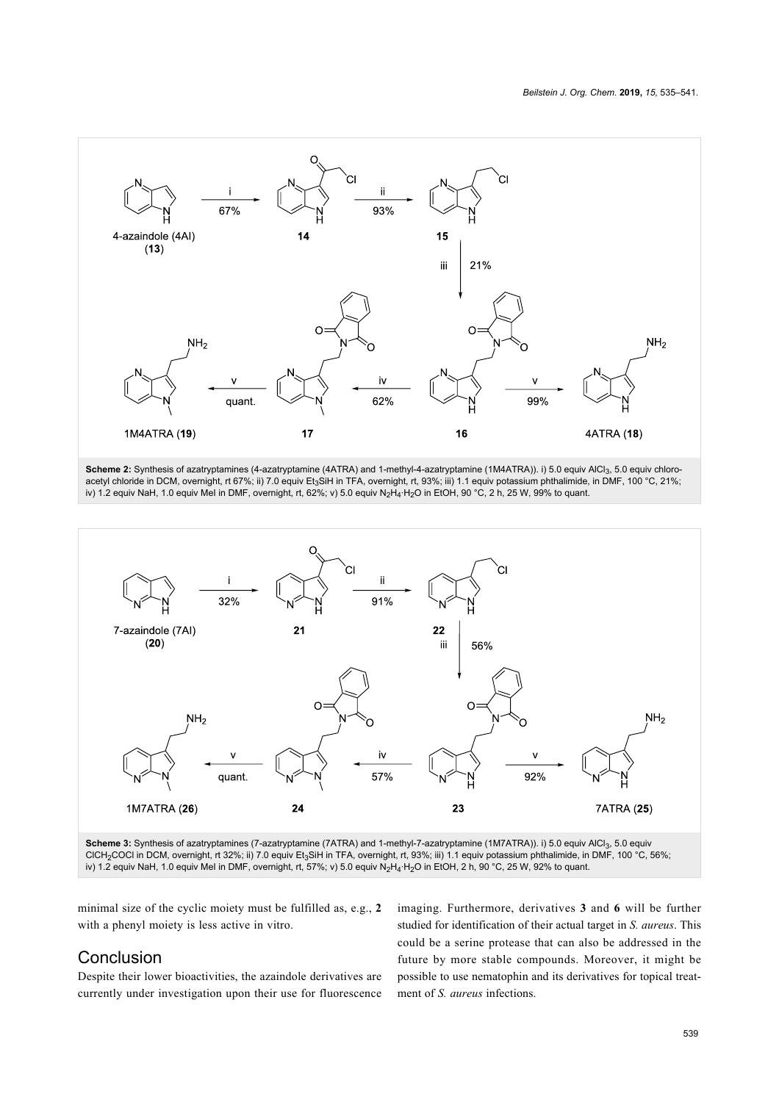<span id="page-4-0"></span>

Scheme 2: Synthesis of azatryptamines (4-azatryptamine (4ATRA) and 1-methyl-4-azatryptamine (1M4ATRA)). i) 5.0 equiv AlCl<sub>3</sub>, 5.0 equiv chloroacetyl chloride in DCM, overnight, rt 67%; ii) 7.0 equiv Et<sub>3</sub>SiH in TFA, overnight, rt, 93%; iii) 1.1 equiv potassium phthalimide, in DMF, 100 °C, 21%; iv) 1.2 equiv NaH, 1.0 equiv MeI in DMF, overnight, rt, 62%; v) 5.0 equiv N2H4·H2O in EtOH, 90 °C, 2 h, 25 W, 99% to quant.

<span id="page-4-1"></span>

Scheme 3: Synthesis of azatryptamines (7-azatryptamine (7ATRA) and 1-methyl-7-azatryptamine (1M7ATRA)). i) 5.0 equiv AlCl<sub>3</sub>, 5.0 equiv CICH<sub>2</sub>COCl in DCM, overnight, rt 32%; ii) 7.0 equiv Et<sub>3</sub>SiH in TFA, overnight, rt, 93%; iii) 1.1 equiv potassium phthalimide, in DMF, 100 °C, 56%; iv) 1.2 equiv NaH, 1.0 equiv MeI in DMF, overnight, rt, 57%; v) 5.0 equiv N2H4·H2O in EtOH, 2 h, 90 °C, 25 W, 92% to quant.

minimal size of the cyclic moiety must be fulfilled as, e.g., **2** with a phenyl moiety is less active in vitro.

#### Conclusion

Despite their lower bioactivities, the azaindole derivatives are currently under investigation upon their use for fluorescence

imaging. Furthermore, derivatives **3** and **6** will be further studied for identification of their actual target in *S. aureus*. This could be a serine protease that can also be addressed in the future by more stable compounds. Moreover, it might be possible to use nematophin and its derivatives for topical treatment of *S. aureus* infections.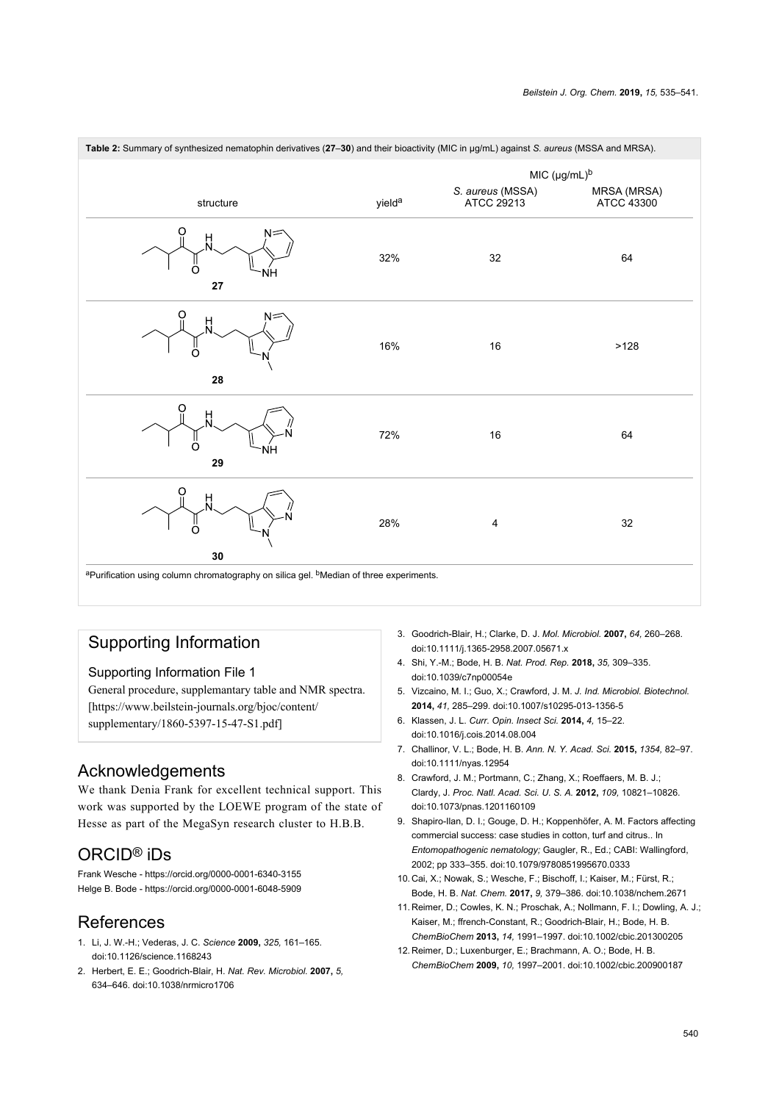<span id="page-5-7"></span>

| Table 2: Summary of synthesized nematophin derivatives (27-30) and their bioactivity (MIC in µg/mL) against S. aureus (MSSA and MRSA). |                    |                                |                           |
|----------------------------------------------------------------------------------------------------------------------------------------|--------------------|--------------------------------|---------------------------|
|                                                                                                                                        |                    | MIC (µg/mL) <sup>b</sup>       |                           |
| structure                                                                                                                              | yield <sup>a</sup> | S. aureus (MSSA)<br>ATCC 29213 | MRSA (MRSA)<br>ATCC 43300 |
| റ<br>빘<br>O<br>NΗ<br>27                                                                                                                | 32%                | 32                             | 64                        |
| റ<br>빘<br>28                                                                                                                           | 16%                | $16\,$                         | >128                      |
| 빘<br>Ω<br>ŃΗ<br>29                                                                                                                     | 72%                | $16\,$                         | 64                        |
| O<br>벘<br>∩<br>$30\,$                                                                                                                  | 28%                | 4                              | 32                        |
| <sup>a</sup> Purification using column chromatography on silica gel. <sup>b</sup> Median of three experiments.                         |                    |                                |                           |

# Supporting Information

#### <span id="page-5-6"></span>Supporting Information File 1

General procedure, supplemantary table and NMR spectra. [\[https://www.beilstein-journals.org/bjoc/content/](https://www.beilstein-journals.org/bjoc/content/supplementary/1860-5397-15-47-S1.pdf) [supplementary/1860-5397-15-47-S1.pdf\]](https://www.beilstein-journals.org/bjoc/content/supplementary/1860-5397-15-47-S1.pdf)

#### Acknowledgements

We thank Denia Frank for excellent technical support. This work was supported by the LOEWE program of the state of Hesse as part of the MegaSyn research cluster to H.B.B.

## ORCID® iDs

Frank Wesche - <https://orcid.org/0000-0001-6340-3155> Helge B. Bode - <https://orcid.org/0000-0001-6048-5909>

#### References

- <span id="page-5-0"></span>1. Li, J. W.-H.; Vederas, J. C. *Science* **2009,** *325,* 161–165. [doi:10.1126/science.1168243](https://doi.org/10.1126%2Fscience.1168243)
- <span id="page-5-1"></span>2. Herbert, E. E.; Goodrich-Blair, H. *Nat. Rev. Microbiol.* **2007,** *5,* 634–646. [doi:10.1038/nrmicro1706](https://doi.org/10.1038%2Fnrmicro1706)
- 3. Goodrich-Blair, H.; Clarke, D. J. *Mol. Microbiol.* **2007,** *64,* 260–268. [doi:10.1111/j.1365-2958.2007.05671.x](https://doi.org/10.1111%2Fj.1365-2958.2007.05671.x)
- <span id="page-5-2"></span>4. Shi, Y.-M.; Bode, H. B. *Nat. Prod. Rep.* **2018,** *35,* 309–335. [doi:10.1039/c7np00054e](https://doi.org/10.1039%2Fc7np00054e)
- 5. Vizcaino, M. I.; Guo, X.; Crawford, J. M. *J. Ind. Microbiol. Biotechnol.* **2014,** *41,* 285–299. [doi:10.1007/s10295-013-1356-5](https://doi.org/10.1007%2Fs10295-013-1356-5)
- 6. Klassen, J. L. *Curr. Opin. Insect Sci.* **2014,** *4,* 15–22. [doi:10.1016/j.cois.2014.08.004](https://doi.org/10.1016%2Fj.cois.2014.08.004)
- 7. Challinor, V. L.; Bode, H. B. *Ann. N. Y. Acad. Sci.* **2015,** *1354,* 82–97. [doi:10.1111/nyas.12954](https://doi.org/10.1111%2Fnyas.12954)
- 8. Crawford, J. M.; Portmann, C.; Zhang, X.; Roeffaers, M. B. J.; Clardy, J. *Proc. Natl. Acad. Sci. U. S. A.* **2012,** *109,* 10821–10826. [doi:10.1073/pnas.1201160109](https://doi.org/10.1073%2Fpnas.1201160109)
- <span id="page-5-3"></span>9. Shapiro-Ilan, D. I.; Gouge, D. H.; Koppenhöfer, A. M. Factors affecting commercial success: case studies in cotton, turf and citrus.. In *Entomopathogenic nematology;* Gaugler, R., Ed.; CABI: Wallingford, 2002; pp 333–355. [doi:10.1079/9780851995670.0333](https://doi.org/10.1079%2F9780851995670.0333)
- <span id="page-5-4"></span>10. Cai, X.; Nowak, S.; Wesche, F.; Bischoff, I.; Kaiser, M.; Fürst, R.; Bode, H. B. *Nat. Chem.* **2017,** *9,* 379–386. [doi:10.1038/nchem.2671](https://doi.org/10.1038%2Fnchem.2671)
- 11. Reimer, D.; Cowles, K. N.; Proschak, A.; Nollmann, F. I.; Dowling, A. J.; Kaiser, M.; ffrench-Constant, R.; Goodrich-Blair, H.; Bode, H. B. *ChemBioChem* **2013,** *14,* 1991–1997. [doi:10.1002/cbic.201300205](https://doi.org/10.1002%2Fcbic.201300205)
- <span id="page-5-5"></span>12. Reimer, D.; Luxenburger, E.; Brachmann, A. O.; Bode, H. B. *ChemBioChem* **2009,** *10,* 1997–2001. [doi:10.1002/cbic.200900187](https://doi.org/10.1002%2Fcbic.200900187)